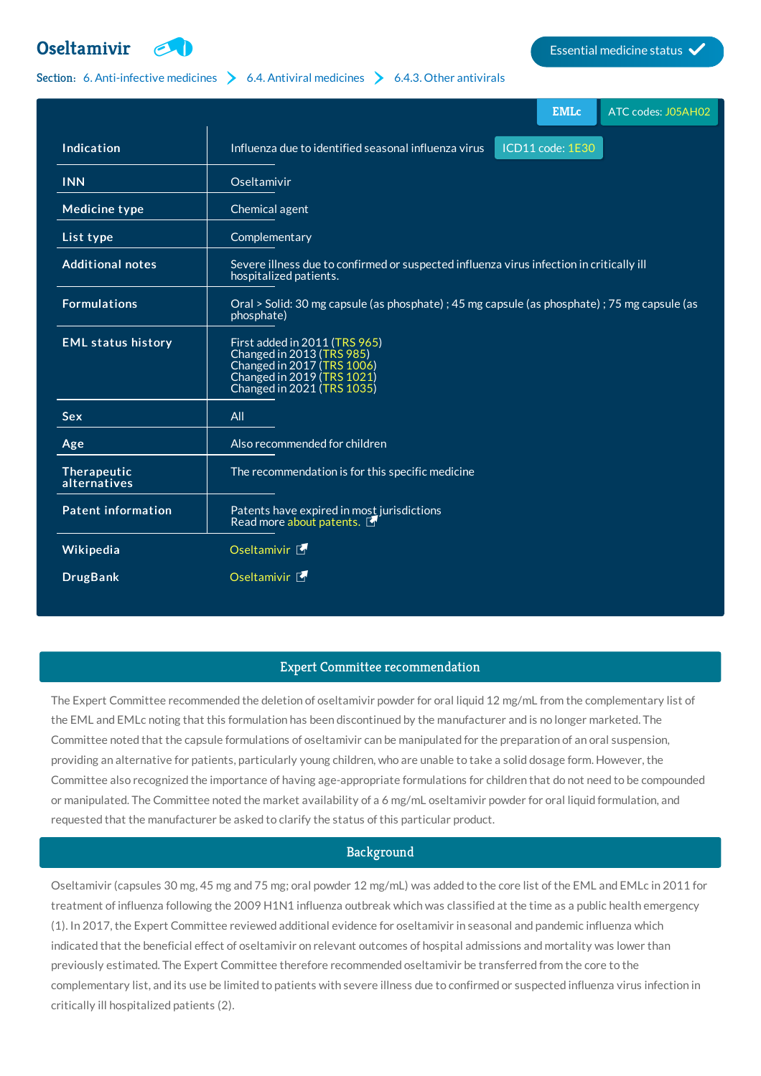

## Section: 6. [Anti-infective](http://list.essentialmeds.org/?section=332) [medicines](http://list.essentialmeds.org/?section=343)  $\rightarrow$  6.4. Antiviral medicines  $\rightarrow$  6.4.3. Other [antivirals](http://list.essentialmeds.org/?section=351)

|                             |                                                                                                                                                      |  | <b>EMLc</b>      | ATC codes: J05AH02 |
|-----------------------------|------------------------------------------------------------------------------------------------------------------------------------------------------|--|------------------|--------------------|
| Indication                  | Influenza due to identified seasonal influenza virus                                                                                                 |  | ICD11 code: 1E30 |                    |
| <b>INN</b>                  | Oseltamivir                                                                                                                                          |  |                  |                    |
| <b>Medicine type</b>        | Chemical agent                                                                                                                                       |  |                  |                    |
| List type                   | Complementary                                                                                                                                        |  |                  |                    |
| <b>Additional notes</b>     | Severe illness due to confirmed or suspected influenza virus infection in critically ill<br>hospitalized patients.                                   |  |                  |                    |
| <b>Formulations</b>         | Oral > Solid: 30 mg capsule (as phosphate) ; 45 mg capsule (as phosphate) ; 75 mg capsule (as<br>phosphate)                                          |  |                  |                    |
| <b>EML status history</b>   | First added in 2011 (TRS 965)<br>Changed in 2013 (TRS 985)<br>Changed in 2017 (TRS 1006)<br>Changed in 2019 (TRS 1021)<br>Changed in 2021 (TRS 1035) |  |                  |                    |
| <b>Sex</b>                  | All                                                                                                                                                  |  |                  |                    |
| Age                         | Also recommended for children                                                                                                                        |  |                  |                    |
| Therapeutic<br>alternatives | The recommendation is for this specific medicine                                                                                                     |  |                  |                    |
| <b>Patent information</b>   | Patents have expired in most jurisdictions<br>Read more about patents.                                                                               |  |                  |                    |
| Wikipedia                   | Oseltamivir <sup>5</sup>                                                                                                                             |  |                  |                    |
| <b>DrugBank</b>             | Oseltamivir <sup>5</sup>                                                                                                                             |  |                  |                    |

# Expert Committee recommendation

The Expert Committee recommended the deletion of oseltamivir powder for oral liquid 12 mg/mL from the complementary list of the EML and EMLc noting that this formulation has been discontinued by the manufacturer and is no longer marketed. The Committee noted that the capsule formulations of oseltamivir can be manipulated for the preparation of an oral suspension, providing an alternative for patients, particularly young children, who are unable to take a solid dosage form. However, the Committee also recognized the importance of having age-appropriate formulations for children that do not need to be compounded or manipulated. The Committee noted the market availability of a 6 mg/mL oseltamivir powder for oral liquid formulation, and requested that the manufacturer be asked to clarify the status of this particular product.

# Background

Oseltamivir (capsules 30 mg, 45 mg and 75 mg; oral powder 12 mg/mL) was added to the core list of the EML and EMLc in 2011 for treatment of influenza following the 2009 H1N1 influenza outbreak which was classified at the time as a public health emergency (1). In 2017, the Expert Committee reviewed additional evidence for oseltamivir in seasonal and pandemic influenza which indicated that the beneficial effect of oseltamivir on relevant outcomes of hospital admissions and mortality was lower than previously estimated. The Expert Committee therefore recommended oseltamivir be transferred from the core to the complementary list, and its use be limited to patients with severe illness due to confirmed or suspected influenza virus infection in critically ill hospitalized patients (2).